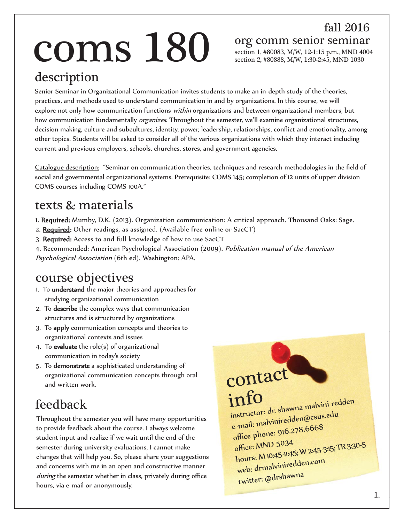# **COMS**  $280$  org comm senior seminar section 1, #80083, M/W, 12-1:15 p.m., MND 400

fall 2016

section 1, #80083, M/W, 12-1:15 p.m., MND 4004 section 2, #80888, M/W, 1:30-2:45, MND 1030

#### description

Senior Seminar in Organizational Communication invites students to make an in-depth study of the theories, practices, and methods used to understand communication in and by organizations. In this course, we will explore not only how communication functions *within* organizations and between organizational members, but how communication fundamentally *organizes*. Throughout the semester, we'll examine organizational structures, decision making, culture and subcultures, identity, power, leadership, relationships, conflict and emotionality, among other topics. Students will be asked to consider all of the various organizations with which they interact including current and previous employers, schools, churches, stores, and government agencies.

Catalogue description: "Seminar on communication theories, techniques and research methodologies in the field of social and governmental organizational systems. Prerequisite: COMS 145; completion of 12 units of upper division COMS courses including COMS 100A."

#### texts & materials

1. Required: Mumby, D.K. (2013). Organization communication: A critical approach. Thousand Oaks: Sage.

- 2. Required: Other readings, as assigned. (Available free online or SacCT)
- 3. Required: Access to and full knowledge of how to use SacCT

4. Recommended: American Psychological Association (2009). Publication manual of the American Psychological Association (6th ed). Washington: APA.

#### course objectives

- 1. To understand the major theories and approaches for studying organizational communication
- 2. To describe the complex ways that communication structures and is structured by organizations
- 3. To apply communication concepts and theories to organizational contexts and issues
- 4. To evaluate the role(s) of organizational communication in today's society
- 5. To demonstrate a sophisticated understanding of organizational communication concepts through oral and written work.

### feedback

Throughout the semester you will have many opportunities to provide feedback about the course. I always welcome student input and realize if we wait until the end of the semester during university evaluations, I cannot make changes that will help you. So, please share your suggestions and concerns with me in an open and constructive manner during the semester whether in class, privately during office hours, via e-mail or anonymously.

info instructor: dr. shawna malvini redden e-mail: malviniredden@csus.edu office phone: 916.278.6668 office: MND 5034 hours: M 10:45-11:45; W 2:45-3:15; TR 3:30-5 web: drmalviniredden.com twitter: @drshawna

contact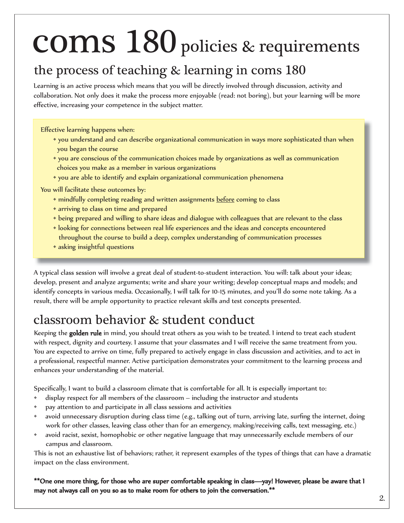#### the process of teaching & learning in coms 180

Learning is an active process which means that you will be directly involved through discussion, activity and collaboration. Not only does it make the process more enjoyable (read: not boring), but your learning will be more effective, increasing your competence in the subject matter.

Effective learning happens when:

- you understand and can describe organizational communication in ways more sophisticated than when you began the course
- you are conscious of the communication choices made by organizations as well as communication choices you make as a member in various organizations
- you are able to identify and explain organizational communication phenomena

You will facilitate these outcomes by:

- \* mindfully completing reading and written assignments before coming to class
- arriving to class on time and prepared
- being prepared and willing to share ideas and dialogue with colleagues that are relevant to the class
- looking for connections between real life experiences and the ideas and concepts encountered throughout the course to build a deep, complex understanding of communication processes
- asking insightful questions

A typical class session will involve a great deal of student-to-student interaction. You will: talk about your ideas; develop, present and analyze arguments; write and share your writing; develop conceptual maps and models; and identify concepts in various media. Occasionally, I will talk for 10-15 minutes, and you'll do some note taking. As a result, there will be ample opportunity to practice relevant skills and test concepts presented.

#### classroom behavior & student conduct

Keeping the **golden rule** in mind, you should treat others as you wish to be treated. I intend to treat each student with respect, dignity and courtesy. I assume that your classmates and I will receive the same treatment from you. You are expected to arrive on time, fully prepared to actively engage in class discussion and activities, and to act in a professional, respectful manner. Active participation demonstrates your commitment to the learning process and enhances your understanding of the material.

Specifically, I want to build a classroom climate that is comfortable for all. It is especially important to:

- display respect for all members of the classroom including the instructor and students
- pay attention to and participate in all class sessions and activities
- avoid unnecessary disruption during class time (e.g., talking out of turn, arriving late, surfing the internet, doing work for other classes, leaving class other than for an emergency, making/receiving calls, text messaging, etc.)
- avoid racist, sexist, homophobic or other negative language that may unnecessarily exclude members of our campus and classroom.

This is not an exhaustive list of behaviors; rather, it represent examples of the types of things that can have a dramatic impact on the class environment.

\*\*One one more thing, for those who are super comfortable speaking in class—yay! However, please be aware that I may not always call on you so as to make room for others to join the conversation.\*\*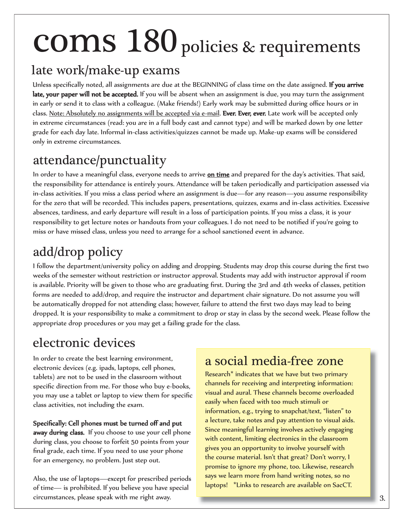#### late work/make-up exams

Unless specifically noted, all assignments are due at the BEGINNING of class time on the date assigned. If you arrive late, your paper will not be accepted. If you will be absent when an assignment is due, you may turn the assignment in early or send it to class with a colleague. (Make friends!) Early work may be submitted during office hours or in class. Note: Absolutely no assignments will be accepted via e-mail. Ever. Ever, ever. Late work will be accepted only in extreme circumstances (read: you are in a full body cast and cannot type) and will be marked down by one letter grade for each day late. Informal in-class activities/quizzes cannot be made up. Make-up exams will be considered only in extreme circumstances.

#### attendance/punctuality

In order to have a meaningful class, everyone needs to arrive on time and prepared for the day's activities. That said, the responsibility for attendance is entirely yours. Attendance will be taken periodically and participation assessed via in-class activities. If you miss a class period where an assignment is due—for any reason—you assume responsibility for the zero that will be recorded. This includes papers, presentations, quizzes, exams and in-class activities. Excessive absences, tardiness, and early departure will result in a loss of participation points. If you miss a class, it is your responsibility to get lecture notes or handouts from your colleagues. I do not need to be notified if you're going to miss or have missed class, unless you need to arrange for a school sanctioned event in advance.

### add/drop policy

I follow the department/university policy on adding and dropping. Students may drop this course during the first two weeks of the semester without restriction or instructor approval. Students may add with instructor approval if room is available. Priority will be given to those who are graduating first. During the 3rd and 4th weeks of classes, petition forms are needed to add/drop, and require the instructor and department chair signature. Do not assume you will be automatically dropped for not attending class; however, failure to attend the first two days may lead to being dropped. It is your responsibility to make a commitment to drop or stay in class by the second week. Please follow the appropriate drop procedures or you may get a failing grade for the class.

#### electronic devices

In order to create the best learning environment, electronic devices (e.g. ipads, laptops, cell phones, tablets) are not to be used in the classroom without specific direction from me. For those who buy e-books, you may use a tablet or laptop to view them for specific class activities, not including the exam.

#### Specifically: Cell phones must be turned off and put

away during class. If you choose to use your cell phone during class, you choose to forfeit 50 points from your final grade, each time. If you need to use your phone for an emergency, no problem. Just step out.

Also, the use of laptops—except for prescribed periods of time— is prohibited. If you believe you have special circumstances, please speak with me right away.

#### a social media-free zone

Research\* indicates that we have but two primary channels for receiving and interpreting information: visual and aural. These channels become overloaded easily when faced with too much stimuli or information, e.g., trying to snapchat/text, "listen" to a lecture, take notes and pay attention to visual aids. Since meaningful learning involves actively engaging with content, limiting electronics in the classroom gives you an opportunity to involve yourself with the course material. Isn't that great? Don't worry, I promise to ignore my phone, too. Likewise, research says we learn more from hand writing notes, so no laptops! \*Links to research are available on SacCT.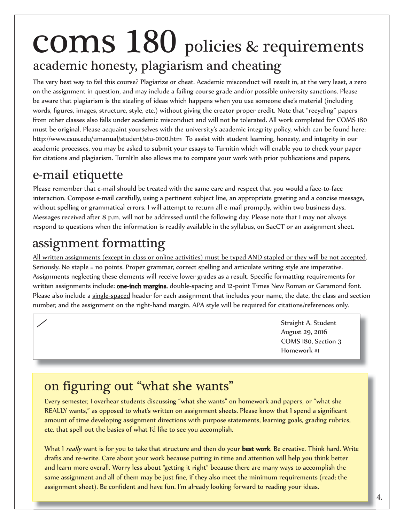### academic honesty, plagiarism and cheating coms 180 policies & requirements

The very best way to fail this course? Plagiarize or cheat. Academic misconduct will result in, at the very least, a zero on the assignment in question, and may include a failing course grade and/or possible university sanctions. Please be aware that plagiarism is the stealing of ideas which happens when you use someone else's material (including words, figures, images, structure, style, etc.) without giving the creator proper credit. Note that "recycling" papers from other classes also falls under academic misconduct and will not be tolerated. All work completed for COMS 180 must be original. Please acquaint yourselves with the university's academic integrity policy, which can be found here: http://www.csus.edu/umanual/student/stu-0100.htm To assist with student learning, honesty, and integrity in our academic processes, you may be asked to submit your essays to Turnitin which will enable you to check your paper for citations and plagiarism. TurnItIn also allows me to compare your work with prior publications and papers.

#### e-mail etiquette

r

 $\overline{a}$ 

Please remember that e-mail should be treated with the same care and respect that you would a face-to-face interaction. Compose e-mail carefully, using a pertinent subject line, an appropriate greeting and a concise message, without spelling or grammatical errors. I will attempt to return all e-mail promptly, within two business days. Messages received after 8 p.m. will not be addressed until the following day. Please note that I may not always respond to questions when the information is readily available in the syllabus, on SacCT or an assignment sheet.

#### assignment formatting

All written assignments (except in-class or online activities) must be typed AND stapled or they will be not accepted. Seriously. No staple = no points. Proper grammar, correct spelling and articulate writing style are imperative. Assignments neglecting these elements will receive lower grades as a result. Specific formatting requirements for written assignments include: **one-inch margins**, double-spacing and 12-point Times New Roman or Garamond font. Please also include a single-spaced header for each assignment that includes your name, the date, the class and section number, and the assignment on the right-hand margin. APA style will be required for citations/references only.

> Straight A. Student August 29, 2016 COMS 180, Section 3 Homework #1

#### on figuring out "what she wants"

Every semester, I overhear students discussing "what she wants" on homework and papers, or "what she REALLY wants," as opposed to what's written on assignment sheets. Please know that I spend a significant amount of time developing assignment directions with purpose statements, learning goals, grading rubrics, etc. that spell out the basics of what I'd like to see you accomplish.

What I really want is for you to take that structure and then do your best work. Be creative. Think hard. Write drafts and re-write. Care about your work because putting in time and attention will help you think better and learn more overall. Worry less about "getting it right" because there are many ways to accomplish the same assignment and all of them may be just fine, if they also meet the minimum requirements (read: the assignment sheet). Be confident and have fun. I'm already looking forward to reading your ideas.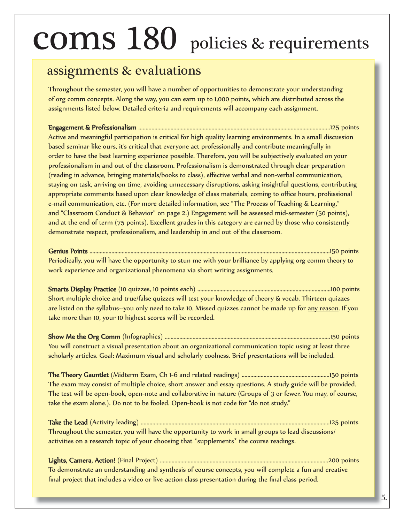#### assignments & evaluations

Throughout the semester, you will have a number of opportunities to demonstrate your understanding of org comm concepts. Along the way, you can earn up to 1,000 points, which are distributed across the assignments listed below. Detailed criteria and requirements will accompany each assignment.

Engagement & Professionalism .................................................................................................. ngagement Professionalism .................................125 points Active and meaningful participation is critical for high quality learning environments. In a small discussion based seminar like ours, it's critical that everyone act professionally and contribute meaningfully in order to have the best learning experience possible. Therefore, you will be subjectively evaluated on your professionalism in and out of the classroom. Professionalism is demonstrated through clear preparation (reading in advance, bringing materials/books to class), effective verbal and non-verbal communication, staying on task, arriving on time, avoiding unnecessary disruptions, asking insightful questions, contributing appropriate comments based upon clear knowledge of class materials, coming to office hours, professional e-mail communication, etc. (For more detailed information, see "The Process of Teaching & Learning," and "Classroom Conduct & Behavior" on page 2.) Engagement will be assessed mid-semester (50 points), and at the end of term (75 points). Excellent grades in this category are earned by those who consistently demonstrate respect, professionalism, and leadership in and out of the classroom.

#### Genius Points ................................................................................................................. enius Points ...................................................150 points

Periodically, you will have the opportunity to stun me with your brilliance by applying org comm theory to work experience and organizational phenomena via short writing assignments.

Smarts Display Practice (10 quizzes, 10 points each) .......................................................................... marts Practice .................100 points Short multiple choice and true/false quizzes will test your knowledge of theory & vocab. Thirteen quizzes are listed on the syllabus--you only need to take 10. Missed quizzes cannot be made up for <u>any reason</u>. If you take more than 10, your 10 highest scores will be recorded.

Show Me the Org Comm (Infographics) ........................................................................................... how Comm ......................150 points You will construct a visual presentation about an organizational communication topic using at least three scholarly articles. Goal: Maximum visual and scholarly coolness. Brief presentations will be included.

The Theory Gauntlet (Midterm Exam, Ch 1-6 and related readings) ............................................................150 he Gauntlet points The exam may consist of multiple choice, short answer and essay questions. A study guide will be provided. The test will be open-book, open-note and collaborative in nature (Groups of 3 or fewer. You may, of course, take the exam alone.). Do not to be fooled. Open-book is not code for "do not study."

Take the Lead (Activity leading) .............................................................................................. ake Lead ...................................125 points Throughout the semester, you will have the opportunity to work in small groups to lead discussions/ activities on a research topic of your choosing that \*supplements\* the course readings.

Lights, Camera, Action! (Final Project) ....................................................................................... ights, Action! ............................200 points To demonstrate an understanding and synthesis of course concepts, you will complete a fun and creative final project that includes a video or live-action class presentation during the final class period.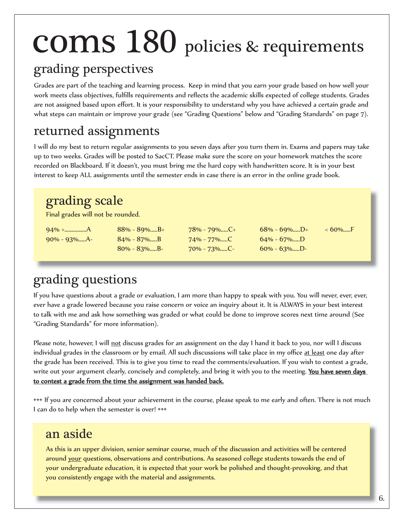#### grading perspectives

Grades are part of the teaching and learning process. Keep in mind that you earn your grade based on how well your work meets class objectives, fulfills requirements and reflects the academic skills expected of college students. Grades are not assigned based upon effort. It is your responsibility to understand why you have achieved a certain grade and what steps can maintain or improve your grade (see "Grading Questions" below and "Grading Standards" on page 7).

#### returned assignments

I will do my best to return regular assignments to you seven days after you turn them in. Exams and papers may take up to two weeks. Grades will be posted to SacCT. Please make sure the score on your homework matches the score recorded on Blackboard. If it doesn't, you must bring me the hard copy with handwritten score. It is in your best interest to keep ALL assignments until the semester ends in case there is an error in the online grade book.

#### grading scale

Final grades will not be rounded.

90% - 93%.....A- 84% - 87%.....B 74% - 77%.....C 64% - 67%.....D

80% - 83%.....B- 70% - 73%.....C- 60% - 63%.....D-

94% +...............A 88% - 89%.....B+ 78% - 79%.....C+ 68% - 69%.....D+ < 60%.....F

### grading questions

If you have questions about a grade or evaluation, I am more than happy to speak with you. You will never, ever, ever, ever have a grade lowered because you raise concern or voice an inquiry about it. It is ALWAYS in your best interest to talk with me and ask how something was graded or what could be done to improve scores next time around (See "Grading Standards" for more information).

Please note, however, I will not discuss grades for an assignment on the day I hand it back to you, nor will I discuss individual grades in the classroom or by email. All such discussions will take place in my office at least one day after the grade has been received. This is to give you time to read the comments/evaluation. If you wish to contest a grade, write out your argument clearly, concisely and completely, and bring it with you to the meeting. You have seven days to contest a grade from the time the assignment was handed back.

••• If you are concerned about your achievement in the course, please speak to me early and often. There is not much I can do to help when the semester is over! •••

#### an aside

As this is an upper division, senior seminar course, much of the discussion and activities will be centered around your questions, observations and contributions. As seasoned college students towards the end of your undergraduate education, it is expected that your work be polished and thought-provoking, and that you consistently engage with the material and assignments.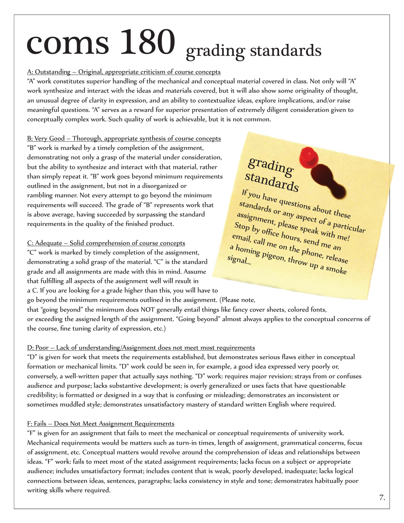## coms 180 grading standards

#### A: Outstanding – Original, appropriate criticism of course concepts

"A" work constitutes superior handling of the mechanical and conceptual material covered in class. Not only will "A" work synthesize and interact with the ideas and materials covered, but it will also show some originality of thought, an unusual degree of clarity in expression, and an ability to contextualize ideas, explore implications, and/or raise meaningful questions. "A" serves as a reward for superior presentation of extremely diligent consideration given to conceptually complex work. Such quality of work is achievable, but it is not common.

B: Very Good – Thorough, appropriate synthesis of course concepts "B" work is marked by a timely completion of the assignment, demonstrating not only a grasp of the material under consideration, but the ability to synthesize and interact with that material, rather than simply repeat it. "B" work goes beyond minimum requirements outlined in the assignment, but not in a disorganized or rambling manner. Not every attempt to go beyond the minimum requirements will succeed. The grade of "B" represents work that is above average, having succeeded by surpassing the standard requirements in the quality of the finished product.

#### C: Adequate – Solid comprehension of course concepts

"C" work is marked by timely completion of the assignment, demonstrating a solid grasp of the material. "C" is the standard grade and all assignments are made with this in mind. Assume that fulfilling all aspects of the assignment well will result in a C. If you are looking for a grade higher than this, you will have to

### grading standards

If you have questions about these standards or any aspect of a particular assignment, please speak with me! Stop by office hours, send me an email, call me on the phone, release<br>a homing pigeon, throw up a signal a homing pigeon, the phone, release<br>ignal...<br>all pigeon, throw up a smoke signal...

go beyond the minimum requirements outlined in the assignment. (Please note, that "going beyond" the minimum does NOT generally entail things like fancy cover sheets, colored fonts, or exceeding the assigned length of the assignment. "Going beyond" almost always applies to the conceptual concerns of the course, fine tuning clarity of expression, etc.)

#### D: Poor – Lack of understanding/Assignment does not meet most requirements

"D" is given for work that meets the requirements established, but demonstrates serious flaws either in conceptual formation or mechanical limits. "D" work could be seen in, for example, a good idea expressed very poorly or, conversely, a well-written paper that actually says nothing. "D" work: requires major revision; strays from or confuses audience and purpose; lacks substantive development; is overly generalized or uses facts that have questionable credibility; is formatted or designed in a way that is confusing or misleading; demonstrates an inconsistent or sometimes muddled style; demonstrates unsatisfactory mastery of standard written English where required.

#### F: Fails – Does Not Meet Assignment Requirements

"F" is given for an assignment that fails to meet the mechanical or conceptual requirements of university work. Mechanical requirements would be matters such as turn-in times, length of assignment, grammatical concerns, focus of assignment, etc. Conceptual matters would revolve around the comprehension of ideas and relationships between ideas. "F" work: fails to meet most of the stated assignment requirements; lacks focus on a subject or appropriate audience; includes unsatisfactory format; includes content that is weak, poorly developed, inadequate; lacks logical connections between ideas, sentences, paragraphs; lacks consistency in style and tone; demonstrates habitually poor writing skills where required.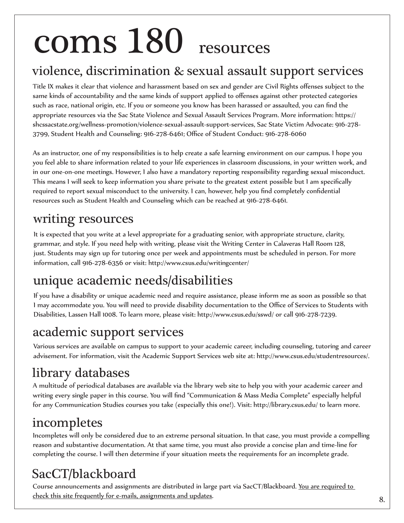## coms 180 resources

#### violence, discrimination & sexual assault support services

Title IX makes it clear that violence and harassment based on sex and gender are Civil Rights offenses subject to the same kinds of accountability and the same kinds of support applied to offenses against other protected categories such as race, national origin, etc. If you or someone you know has been harassed or assaulted, you can find the appropriate resources via the Sac State Violence and Sexual Assault Services Program. More information: https:// shcssacstate.org/wellness-promotion/violence-sexual-assault-support-services, Sac State Victim Advocate: 916-278- 3799, Student Health and Counseling: 916-278-6461; Office of Student Conduct: 916-278-6060

As an instructor, one of my responsibilities is to help create a safe learning environment on our campus. I hope you you feel able to share information related to your life experiences in classroom discussions, in your written work, and in our one-on-one meetings. However, I also have a mandatory reporting responsibility regarding sexual misconduct. This means I will seek to keep information you share private to the greatest extent possible but I am specifically required to report sexual misconduct to the university. I can, however, help you find completely confidential resources such as Student Health and Counseling which can be reached at 916-278-6461.

#### writing resources

It is expected that you write at a level appropriate for a graduating senior, with appropriate structure, clarity, grammar, and style. If you need help with writing, please visit the Writing Center in Calaveras Hall Room 128, just. Students may sign up for tutoring once per week and appointments must be scheduled in person. For more information, call 916-278-6356 or visit: http://www.csus.edu/writingcenter/

#### unique academic needs/disabilities

If you have a disability or unique academic need and require assistance, please inform me as soon as possible so that I may accommodate you. You will need to provide disability documentation to the Office of Services to Students with Disabilities, Lassen Hall 1008. To learn more, please visit: http://www.csus.edu/sswd/ or call 916-278-7239.

#### academic support services

Various services are available on campus to support to your academic career, including counseling, tutoring and career advisement. For information, visit the Academic Support Services web site at: http://www.csus.edu/studentresources/.

### library databases

A multitude of periodical databases are available via the library web site to help you with your academic career and writing every single paper in this course. You will find "Communication & Mass Media Complete" especially helpful for any Communication Studies courses you take (especially this one!). Visit: http://library.csus.edu/ to learn more.

#### incompletes

Incompletes will only be considered due to an extreme personal situation. In that case, you must provide a compelling reason and substantive documentation. At that same time, you must also provide a concise plan and time-line for completing the course. I will then determine if your situation meets the requirements for an incomplete grade.

### SacCT/blackboard

Course announcements and assignments are distributed in large part via SacCT/Blackboard. You are required to check this site frequently for e-mails, assignments and updates.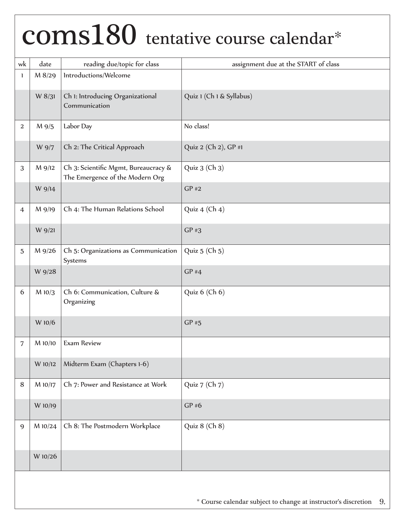### coms180 tentative course calendar\*

| wk             | date    | reading due/topic for class                                             | assignment due at the START of class |
|----------------|---------|-------------------------------------------------------------------------|--------------------------------------|
| 1              | M 8/29  | Introductions/Welcome                                                   |                                      |
|                | W 8/31  | Ch 1: Introducing Organizational<br>Communication                       | Quiz 1 (Ch 1 & Syllabus)             |
| 2              | M 9/5   | Labor Day                                                               | No class!                            |
|                | W 9/7   | Ch 2: The Critical Approach                                             | Quiz 2 (Ch 2), GP #1                 |
| 3              | M 9/12  | Ch 3: Scientific Mgmt, Bureaucracy &<br>The Emergence of the Modern Org | Quiz 3 (Ch 3)                        |
|                | W 9/14  |                                                                         | $GP$ #2                              |
| $\overline{4}$ | M 9/19  | Ch 4: The Human Relations School                                        | Quiz 4 (Ch 4)                        |
|                | W 9/21  |                                                                         | $GP$ #3                              |
| $\mathbf 5$    | M 9/26  | Ch 5: Organizations as Communication<br>Systems                         | Quiz 5 (Ch 5)                        |
|                | W 9/28  |                                                                         | $GP$ #4                              |
| 6              | M 10/3  | Ch 6: Communication, Culture &<br>Organizing                            | Quiz 6 (Ch 6)                        |
|                | W 10/6  |                                                                         | $GP$ #5                              |
| 7              | M 10/10 | <b>Exam Review</b>                                                      |                                      |
|                | W 10/12 | Midterm Exam (Chapters 1-6)                                             |                                      |
| 8              | M 10/17 | Ch 7: Power and Resistance at Work                                      | Quiz 7 (Ch 7)                        |
|                | W 10/19 |                                                                         | GP#6                                 |
| 9              | M 10/24 | Ch 8: The Postmodern Workplace                                          | Quiz 8 (Ch 8)                        |
|                | W 10/26 |                                                                         |                                      |
|                |         |                                                                         |                                      |